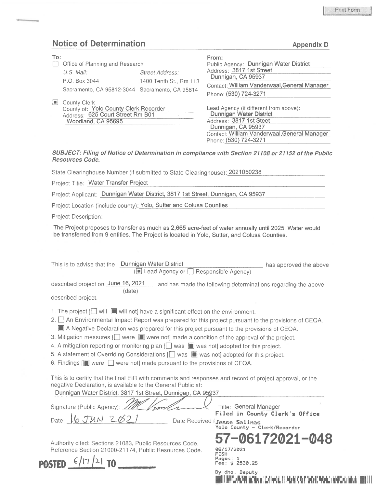## Notice of Determination and Appendix D Appendix D

| To:<br>$\blacksquare$ | Office of Planning and Research<br>$U.S.$ Mail:<br>P.O. Box 3044<br>Sacramento, CA 95812-3044 Sacramento, CA 95814 | Street Address:<br>1400 Tenth St., Rm 113 | From:<br>Public Agency: Dunnigan Water District<br>Address: 3817 1st Street<br>Dunnigan, CA 95937<br>Contact: William Vanderwaal, General Manager<br>Phone: (530) 724-3271                  |
|-----------------------|--------------------------------------------------------------------------------------------------------------------|-------------------------------------------|---------------------------------------------------------------------------------------------------------------------------------------------------------------------------------------------|
| i i L                 | County Clerk<br>County of: Yolo County Clerk Recorder<br>Address: 625 Court Street Rm B01<br>Woodland, CA 95695    |                                           | Lead Agency (if different from above):<br>Dunnigan Water District<br>Address: 3817 1st Steet<br>Dunnigan, CA 95937<br>Contact: William Vanderwaal, General Manager<br>Phone: (530) 724-3271 |

SUBJECT: Filing of Notice of Determination in compliance with Section 21108 or 21152 of the Public Resources Code.

State Clearinghouse Number (if submitted to State Clearinghouse): 2021050238

Project Title; Water Transfer Project

Project Applicant; Dunnigan Water District, 3817 1st Street, Dunnigan, CA 95937

Project Location (include county): Yolo, Sutter and Colusa Counties

Project Description:

The Project proposes to transfer as much as 2,665 acre-feet of water annually until 2025. Water would be transferred from 9 entities. The Project is located in Yolo, Sutter, and Colusa Counties.

| This is to advise that the Dunnigan Water District<br>(■ Lead Agency or □ Responsible Agency)                                                                                                                                                                                                                                                                                                                                                                                                                                                                                                                                                                                                                                                                                                                | has approved the above                                                                                                  |
|--------------------------------------------------------------------------------------------------------------------------------------------------------------------------------------------------------------------------------------------------------------------------------------------------------------------------------------------------------------------------------------------------------------------------------------------------------------------------------------------------------------------------------------------------------------------------------------------------------------------------------------------------------------------------------------------------------------------------------------------------------------------------------------------------------------|-------------------------------------------------------------------------------------------------------------------------|
| described project on June 16, 2021<br>(date)<br>described project.                                                                                                                                                                                                                                                                                                                                                                                                                                                                                                                                                                                                                                                                                                                                           | and has made the following determinations regarding the above                                                           |
| 1. The project [ ] will $\blacksquare$ will not] have a significant effect on the environment.<br>An Environmental Impact Report was prepared for this project pursuant to the provisions of CEQA.<br>2. I<br>A Negative Declaration was prepared for this project pursuant to the provisions of CEQA.<br>3. Mitigation measures $\Box$ were $\Box$ were not] made a condition of the approval of the project.<br>4. A mitigation reporting or monitoring plan $\Box$ was $\Box$ was not] adopted for this project.<br>5. A statement of Overriding Considerations [ ] was in was not] adopted for this project.<br>6. Findings [ were $\Box$ were not] made pursuant to the provisions of CEQA.<br>This is to certify that the final EIR with comments and responses and record of project approval, or the |                                                                                                                         |
| negative Declaration, is available to the General Public at:<br>Dunnigan Water District, 3817 1st Street, Dunnigan, CA 95937<br>Signature (Public Agency): //<br>Date: $6 \text{ J}$ WN 2                                                                                                                                                                                                                                                                                                                                                                                                                                                                                                                                                                                                                    | Title: General Manager<br>Filed in County Clerk's Office<br>Date Received Jesse Salinas<br>Yolo County - Clerk/Recorder |
| Authority cited: Sections 21083, Public Resources Code.<br>Reference Section 21000-21174, Public Resources Code.                                                                                                                                                                                                                                                                                                                                                                                                                                                                                                                                                                                                                                                                                             | 57-06172021-048<br>06/17/2021<br>FISH<br>Pages: 1<br><b>Fee: \$ 2530.25</b><br>By dho, Deputy                           |

Illi illiy illiy hibii Illiy oo bilaalisha. Illiy hibii illiy xaybii hobba iyo lagu baad illii illii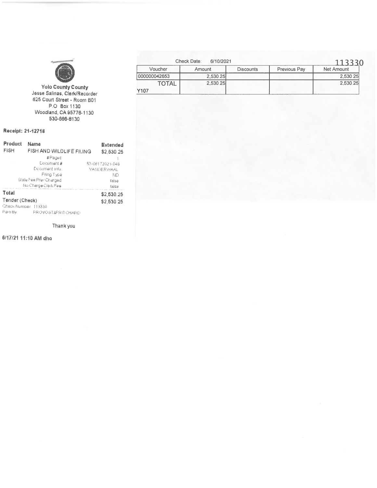

Yolo County County<br>Jesse Salinas, Clerk/Recorder<br>625 Court Street - Room B01 P.O. Box 1130<br>Woodland, CA 95776-1130<br>530-666-8130

## Receipt: 21-12718

| Product<br><b>FISH</b> | Extended<br>FISH AND WILDLIFE FILING<br>\$2,530.25 |                          |  |  |
|------------------------|----------------------------------------------------|--------------------------|--|--|
|                        | #Pages                                             |                          |  |  |
|                        | Document #                                         | 57-06172021-048          |  |  |
|                        | Document info:                                     | <b><i>VANDERWAAL</i></b> |  |  |
|                        | Filing Type                                        | ND                       |  |  |
|                        | State Fee Prev Charged                             | false                    |  |  |
|                        | No Charge Clerk Fee                                | false                    |  |  |
| Total                  |                                                    | \$2,530.25               |  |  |
| Tender (Check)         |                                                    | \$2,530.25               |  |  |
| Check Numper 113330    |                                                    |                          |  |  |
| Paid By                | PROVOST&PRITICHARD                                 |                          |  |  |

Thank you

6/17/21 11:10 AM dho

|              | Check Date:<br>6/10/2021 |                  |              | 113330     |
|--------------|--------------------------|------------------|--------------|------------|
| Voucher      | Amount                   | <b>Discounts</b> | Previous Pay | Net Amount |
| 000000042653 | 2.530.25                 |                  |              | 2.530.25   |
| <b>TOTAL</b> | 2,530.25                 |                  |              | 2,530.25   |
| Y107         |                          |                  |              |            |